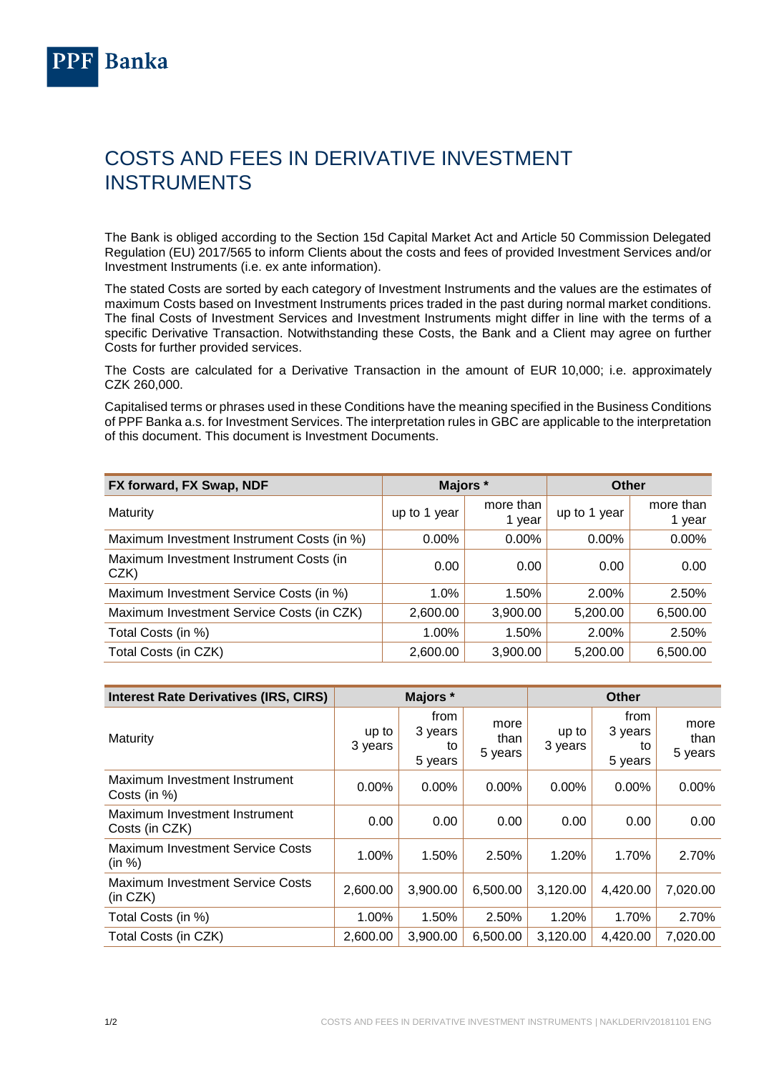## COSTS AND FEES IN DERIVATIVE INVESTMENT INSTRUMENTS

The Bank is obliged according to the Section 15d Capital Market Act and Article 50 Commission Delegated Regulation (EU) 2017/565 to inform Clients about the costs and fees of provided Investment Services and/or Investment Instruments (i.e. ex ante information).

The stated Costs are sorted by each category of Investment Instruments and the values are the estimates of maximum Costs based on Investment Instruments prices traded in the past during normal market conditions. The final Costs of Investment Services and Investment Instruments might differ in line with the terms of a specific Derivative Transaction. Notwithstanding these Costs, the Bank and a Client may agree on further Costs for further provided services.

The Costs are calculated for a Derivative Transaction in the amount of EUR 10,000; i.e. approximately CZK 260,000.

Capitalised terms or phrases used in these Conditions have the meaning specified in the Business Conditions of PPF Banka a.s. for Investment Services. The interpretation rules in GBC are applicable to the interpretation of this document. This document is Investment Documents.

| FX forward, FX Swap, NDF                       | Majors *     |                     | Other        |                     |
|------------------------------------------------|--------------|---------------------|--------------|---------------------|
| Maturity                                       | up to 1 year | more than<br>1 year | up to 1 year | more than<br>1 year |
| Maximum Investment Instrument Costs (in %)     | $0.00\%$     | $0.00\%$            | $0.00\%$     | 0.00%               |
| Maximum Investment Instrument Costs (in<br>CZK | 0.00         | 0.00                | 0.00         | 0.00                |
| Maximum Investment Service Costs (in %)        | 1.0%         | 1.50%               | 2.00%        | 2.50%               |
| Maximum Investment Service Costs (in CZK)      | 2,600.00     | 3,900.00            | 5,200.00     | 6,500.00            |
| Total Costs (in %)                             | 1.00%        | 1.50%               | 2.00%        | 2.50%               |
| Total Costs (in CZK)                           | 2,600.00     | 3,900.00            | 5,200.00     | 6,500.00            |

<span id="page-0-0"></span>

| <b>Interest Rate Derivatives (IRS, CIRS)</b>        | Majors *         |                                  |                         | <b>Other</b>     |                                  |                         |  |
|-----------------------------------------------------|------------------|----------------------------------|-------------------------|------------------|----------------------------------|-------------------------|--|
| Maturity                                            | up to<br>3 years | from<br>3 years<br>to<br>5 years | more<br>than<br>5 years | up to<br>3 years | from<br>3 years<br>to<br>5 years | more<br>than<br>5 years |  |
| Maximum Investment Instrument<br>Costs (in %)       | 0.00%            | $0.00\%$                         | 0.00%                   | $0.00\%$         | $0.00\%$                         | 0.00%                   |  |
| Maximum Investment Instrument<br>Costs (in CZK)     | 0.00             | 0.00                             | 0.00                    | 0.00             | 0.00                             | 0.00                    |  |
| <b>Maximum Investment Service Costs</b><br>(in %)   | 1.00%            | 1.50%                            | 2.50%                   | 1.20%            | 1.70%                            | 2.70%                   |  |
| <b>Maximum Investment Service Costs</b><br>(in CZK) | 2,600.00         | 3,900.00                         | 6,500.00                | 3,120.00         | 4,420.00                         | 7,020.00                |  |
| Total Costs (in %)                                  | 1.00%            | 1.50%                            | 2.50%                   | 1.20%            | 1.70%                            | 2.70%                   |  |
| Total Costs (in CZK)                                | 2,600.00         | 3.900.00                         | 6.500.00                | 3,120.00         | 4.420.00                         | 7.020.00                |  |